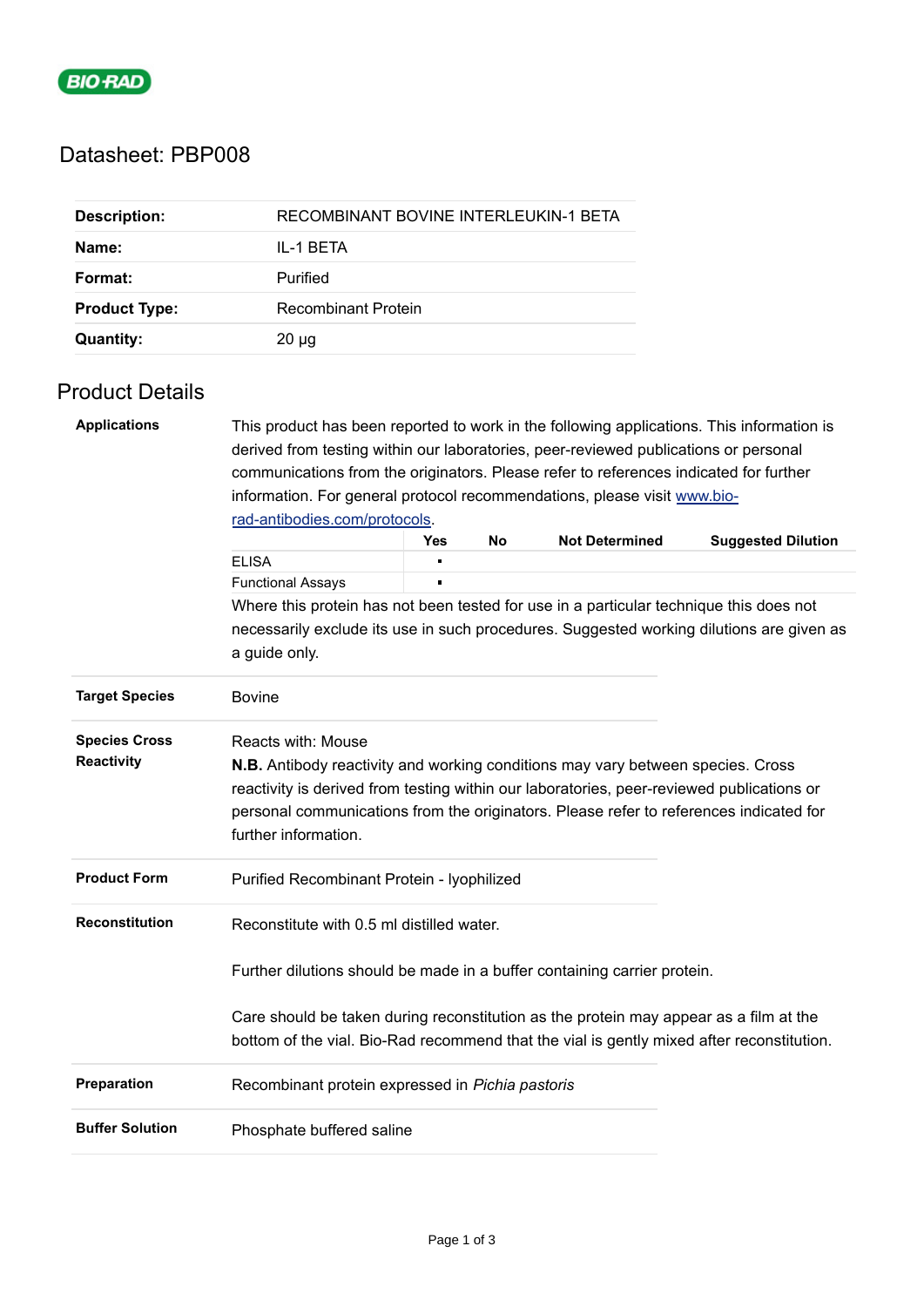

## Datasheet: PBP008

| <b>Description:</b>  | RECOMBINANT BOVINE INTERLEUKIN-1 BETA |
|----------------------|---------------------------------------|
| Name:                | IL-1 BETA                             |
| Format:              | Purified                              |
| <b>Product Type:</b> | Recombinant Protein                   |
| <b>Quantity:</b>     | $20 \mu g$                            |

## Product Details

| <b>Applications</b>                       | This product has been reported to work in the following applications. This information is                                                                                                                                                                                                                                          |                |  |  |  |  |  |  |
|-------------------------------------------|------------------------------------------------------------------------------------------------------------------------------------------------------------------------------------------------------------------------------------------------------------------------------------------------------------------------------------|----------------|--|--|--|--|--|--|
|                                           | derived from testing within our laboratories, peer-reviewed publications or personal                                                                                                                                                                                                                                               |                |  |  |  |  |  |  |
|                                           | communications from the originators. Please refer to references indicated for further                                                                                                                                                                                                                                              |                |  |  |  |  |  |  |
|                                           | information. For general protocol recommendations, please visit www.bio-<br>rad-antibodies.com/protocols.                                                                                                                                                                                                                          |                |  |  |  |  |  |  |
|                                           |                                                                                                                                                                                                                                                                                                                                    |                |  |  |  |  |  |  |
|                                           | <b>Not Determined</b><br><b>Yes</b><br>No<br><b>Suggested Dilution</b>                                                                                                                                                                                                                                                             |                |  |  |  |  |  |  |
|                                           | <b>ELISA</b>                                                                                                                                                                                                                                                                                                                       | $\blacksquare$ |  |  |  |  |  |  |
|                                           | <b>Functional Assays</b>                                                                                                                                                                                                                                                                                                           | $\blacksquare$ |  |  |  |  |  |  |
|                                           | Where this protein has not been tested for use in a particular technique this does not                                                                                                                                                                                                                                             |                |  |  |  |  |  |  |
|                                           | necessarily exclude its use in such procedures. Suggested working dilutions are given as                                                                                                                                                                                                                                           |                |  |  |  |  |  |  |
|                                           | a guide only.                                                                                                                                                                                                                                                                                                                      |                |  |  |  |  |  |  |
| <b>Target Species</b>                     | <b>Bovine</b>                                                                                                                                                                                                                                                                                                                      |                |  |  |  |  |  |  |
| <b>Species Cross</b><br><b>Reactivity</b> | <b>Reacts with: Mouse</b><br><b>N.B.</b> Antibody reactivity and working conditions may vary between species. Cross<br>reactivity is derived from testing within our laboratories, peer-reviewed publications or<br>personal communications from the originators. Please refer to references indicated for<br>further information. |                |  |  |  |  |  |  |
| <b>Product Form</b>                       | Purified Recombinant Protein - lyophilized                                                                                                                                                                                                                                                                                         |                |  |  |  |  |  |  |
| <b>Reconstitution</b>                     | Reconstitute with 0.5 ml distilled water.                                                                                                                                                                                                                                                                                          |                |  |  |  |  |  |  |
|                                           | Further dilutions should be made in a buffer containing carrier protein.                                                                                                                                                                                                                                                           |                |  |  |  |  |  |  |
|                                           | Care should be taken during reconstitution as the protein may appear as a film at the<br>bottom of the vial. Bio-Rad recommend that the vial is gently mixed after reconstitution.                                                                                                                                                 |                |  |  |  |  |  |  |
| Preparation                               | Recombinant protein expressed in Pichia pastoris                                                                                                                                                                                                                                                                                   |                |  |  |  |  |  |  |
| <b>Buffer Solution</b>                    | Phosphate buffered saline                                                                                                                                                                                                                                                                                                          |                |  |  |  |  |  |  |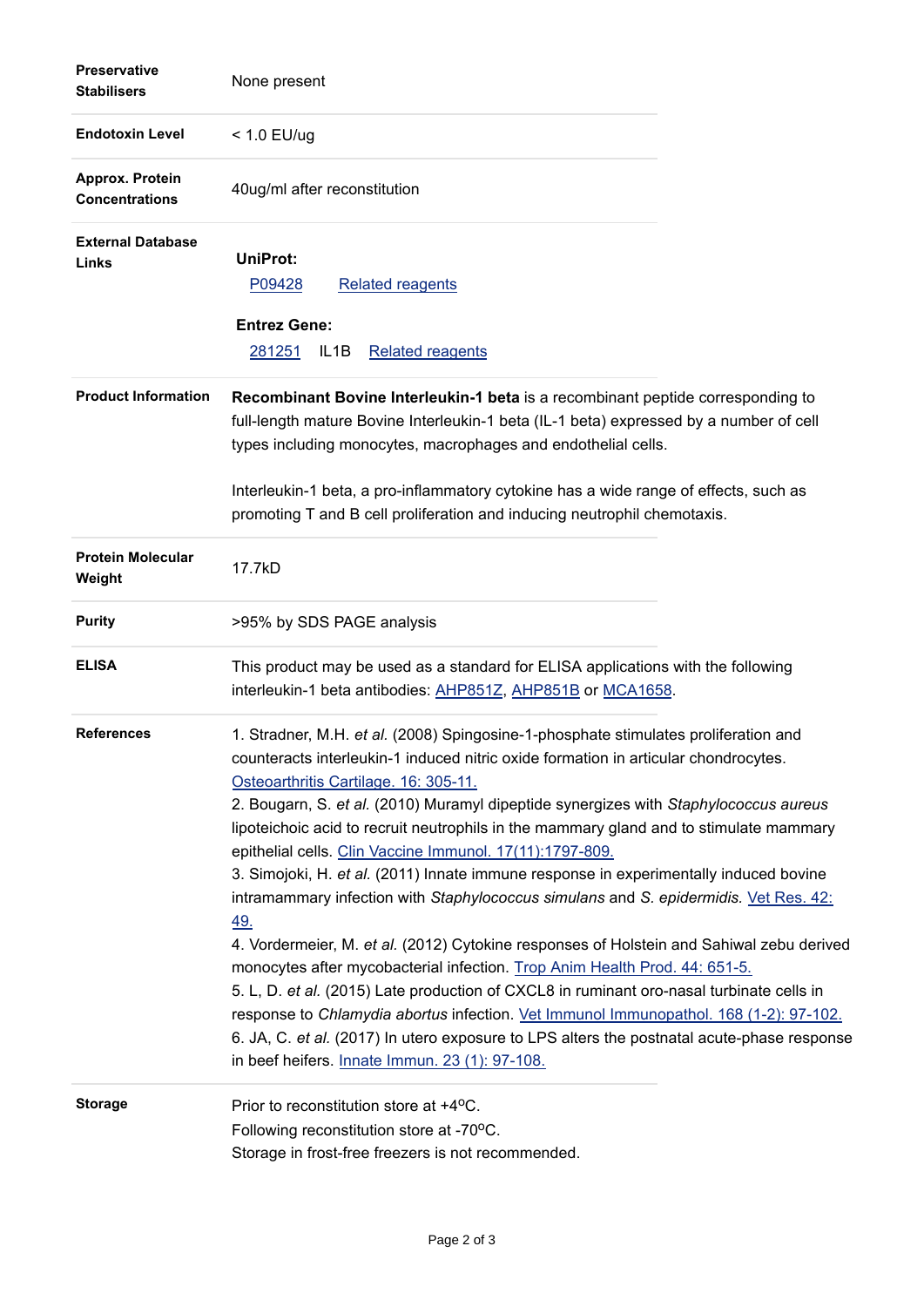| <b>Preservative</b><br><b>Stabilisers</b> | None present                                                                                                                                                                                                                                                                                                                                                                                                                                                                                                                                                                                                                                                                                                                                                                                                                                                                                                                                                                                                                                                                                                                                                             |
|-------------------------------------------|--------------------------------------------------------------------------------------------------------------------------------------------------------------------------------------------------------------------------------------------------------------------------------------------------------------------------------------------------------------------------------------------------------------------------------------------------------------------------------------------------------------------------------------------------------------------------------------------------------------------------------------------------------------------------------------------------------------------------------------------------------------------------------------------------------------------------------------------------------------------------------------------------------------------------------------------------------------------------------------------------------------------------------------------------------------------------------------------------------------------------------------------------------------------------|
| <b>Endotoxin Level</b>                    | $< 1.0$ EU/ug                                                                                                                                                                                                                                                                                                                                                                                                                                                                                                                                                                                                                                                                                                                                                                                                                                                                                                                                                                                                                                                                                                                                                            |
| Approx. Protein<br><b>Concentrations</b>  | 40ug/ml after reconstitution                                                                                                                                                                                                                                                                                                                                                                                                                                                                                                                                                                                                                                                                                                                                                                                                                                                                                                                                                                                                                                                                                                                                             |
| <b>External Database</b><br>Links         | <b>UniProt:</b><br>P09428<br><b>Related reagents</b>                                                                                                                                                                                                                                                                                                                                                                                                                                                                                                                                                                                                                                                                                                                                                                                                                                                                                                                                                                                                                                                                                                                     |
|                                           | <b>Entrez Gene:</b><br>281251<br><b>Related reagents</b><br>IL <sub>1</sub> B                                                                                                                                                                                                                                                                                                                                                                                                                                                                                                                                                                                                                                                                                                                                                                                                                                                                                                                                                                                                                                                                                            |
| <b>Product Information</b>                | Recombinant Bovine Interleukin-1 beta is a recombinant peptide corresponding to<br>full-length mature Bovine Interleukin-1 beta (IL-1 beta) expressed by a number of cell<br>types including monocytes, macrophages and endothelial cells.                                                                                                                                                                                                                                                                                                                                                                                                                                                                                                                                                                                                                                                                                                                                                                                                                                                                                                                               |
|                                           | Interleukin-1 beta, a pro-inflammatory cytokine has a wide range of effects, such as<br>promoting T and B cell proliferation and inducing neutrophil chemotaxis.                                                                                                                                                                                                                                                                                                                                                                                                                                                                                                                                                                                                                                                                                                                                                                                                                                                                                                                                                                                                         |
| <b>Protein Molecular</b><br>Weight        | 17.7kD                                                                                                                                                                                                                                                                                                                                                                                                                                                                                                                                                                                                                                                                                                                                                                                                                                                                                                                                                                                                                                                                                                                                                                   |
| <b>Purity</b>                             | >95% by SDS PAGE analysis                                                                                                                                                                                                                                                                                                                                                                                                                                                                                                                                                                                                                                                                                                                                                                                                                                                                                                                                                                                                                                                                                                                                                |
| <b>ELISA</b>                              | This product may be used as a standard for ELISA applications with the following<br>interleukin-1 beta antibodies: AHP851Z, AHP851B or MCA1658.                                                                                                                                                                                                                                                                                                                                                                                                                                                                                                                                                                                                                                                                                                                                                                                                                                                                                                                                                                                                                          |
| <b>References</b>                         | 1. Stradner, M.H. et al. (2008) Spingosine-1-phosphate stimulates proliferation and<br>counteracts interleukin-1 induced nitric oxide formation in articular chondrocytes.<br>Osteoarthritis Cartilage. 16: 305-11.<br>2. Bougarn, S. et al. (2010) Muramyl dipeptide synergizes with Staphylococcus aureus<br>lipoteichoic acid to recruit neutrophils in the mammary gland and to stimulate mammary<br>epithelial cells. Clin Vaccine Immunol. 17(11):1797-809.<br>3. Simojoki, H. et al. (2011) Innate immune response in experimentally induced bovine<br>intramammary infection with Staphylococcus simulans and S. epidermidis. Vet Res. 42:<br>49.<br>4. Vordermeier, M. et al. (2012) Cytokine responses of Holstein and Sahiwal zebu derived<br>monocytes after mycobacterial infection. Trop Anim Health Prod. 44: 651-5.<br>5. L, D. et al. (2015) Late production of CXCL8 in ruminant oro-nasal turbinate cells in<br>response to Chlamydia abortus infection. Vet Immunol Immunopathol. 168 (1-2): 97-102.<br>6. JA, C. et al. (2017) In utero exposure to LPS alters the postnatal acute-phase response<br>in beef heifers. Innate Immun. 23 (1): 97-108. |
| <b>Storage</b>                            | Prior to reconstitution store at +4°C.<br>Following reconstitution store at -70°C.<br>Storage in frost-free freezers is not recommended.                                                                                                                                                                                                                                                                                                                                                                                                                                                                                                                                                                                                                                                                                                                                                                                                                                                                                                                                                                                                                                 |